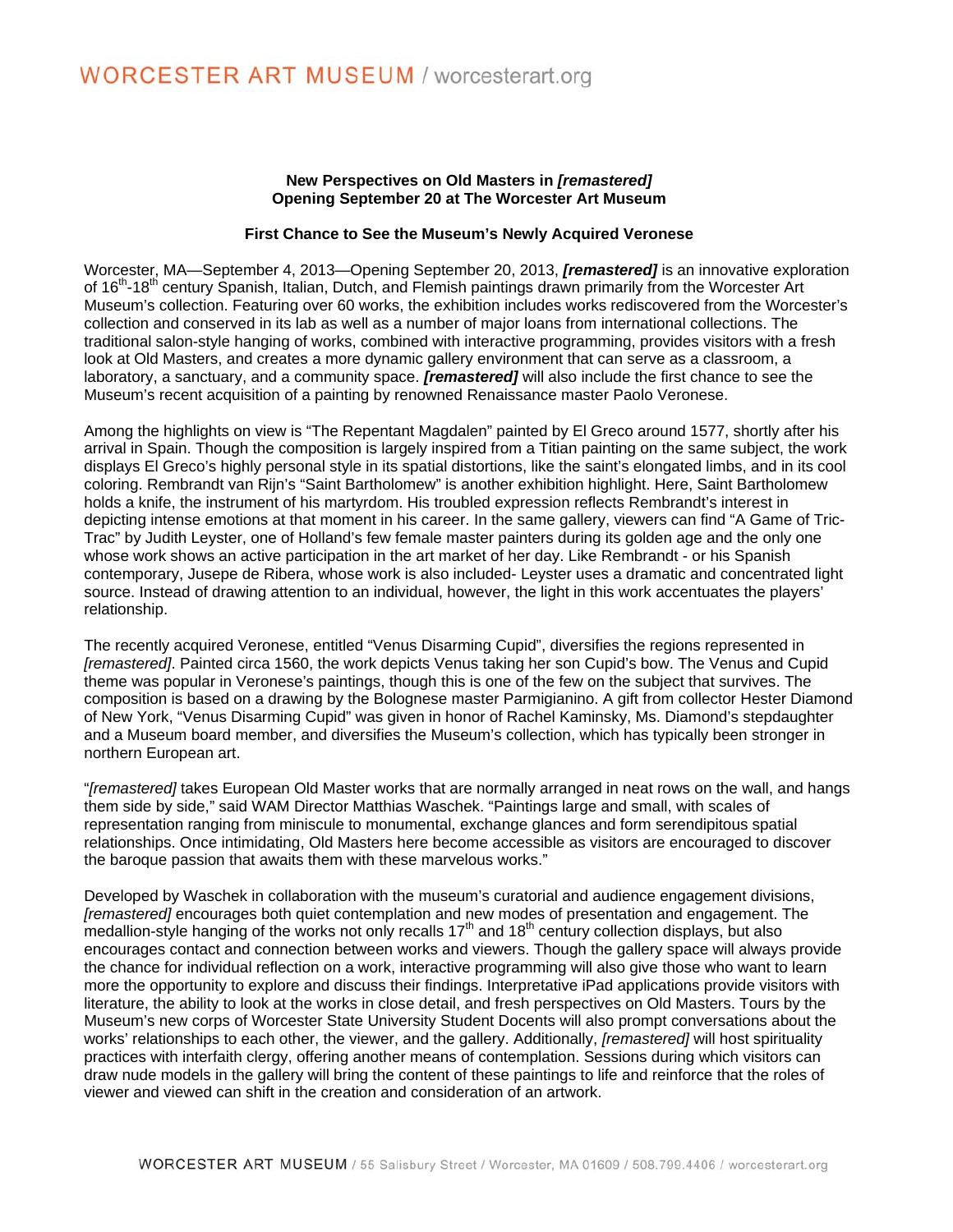## **New Perspectives on Old Masters in** *[remastered]* **Opening September 20 at The Worcester Art Museum**

## **First Chance to See the Museum's Newly Acquired Veronese**

Worcester, MA—September 4, 2013—Opening September 20, 2013, *[remastered]* is an innovative exploration of 16<sup>th</sup>-18<sup>th</sup> century Spanish, Italian, Dutch, and Flemish paintings drawn primarily from the Worcester Art Museum's collection. Featuring over 60 works, the exhibition includes works rediscovered from the Worcester's collection and conserved in its lab as well as a number of major loans from international collections. The traditional salon-style hanging of works, combined with interactive programming, provides visitors with a fresh look at Old Masters, and creates a more dynamic gallery environment that can serve as a classroom, a laboratory, a sanctuary, and a community space. *[remastered]* will also include the first chance to see the Museum's recent acquisition of a painting by renowned Renaissance master Paolo Veronese.

Among the highlights on view is "The Repentant Magdalen" painted by El Greco around 1577, shortly after his arrival in Spain. Though the composition is largely inspired from a Titian painting on the same subject, the work displays El Greco's highly personal style in its spatial distortions, like the saint's elongated limbs, and in its cool coloring. Rembrandt van Rijn's "Saint Bartholomew" is another exhibition highlight. Here, Saint Bartholomew holds a knife, the instrument of his martyrdom. His troubled expression reflects Rembrandt's interest in depicting intense emotions at that moment in his career. In the same gallery, viewers can find "A Game of Tric-Trac" by Judith Leyster, one of Holland's few female master painters during its golden age and the only one whose work shows an active participation in the art market of her day. Like Rembrandt - or his Spanish contemporary, Jusepe de Ribera, whose work is also included- Leyster uses a dramatic and concentrated light source. Instead of drawing attention to an individual, however, the light in this work accentuates the players' relationship.

The recently acquired Veronese, entitled "Venus Disarming Cupid", diversifies the regions represented in *[remastered]*. Painted circa 1560, the work depicts Venus taking her son Cupid's bow. The Venus and Cupid theme was popular in Veronese's paintings, though this is one of the few on the subject that survives. The composition is based on a drawing by the Bolognese master Parmigianino. A gift from collector Hester Diamond of New York, "Venus Disarming Cupid" was given in honor of Rachel Kaminsky, Ms. Diamond's stepdaughter and a Museum board member, and diversifies the Museum's collection, which has typically been stronger in northern European art.

"*[remastered]* takes European Old Master works that are normally arranged in neat rows on the wall, and hangs them side by side," said WAM Director Matthias Waschek. "Paintings large and small, with scales of representation ranging from miniscule to monumental, exchange glances and form serendipitous spatial relationships. Once intimidating, Old Masters here become accessible as visitors are encouraged to discover the baroque passion that awaits them with these marvelous works."

Developed by Waschek in collaboration with the museum's curatorial and audience engagement divisions, *[remastered]* encourages both quiet contemplation and new modes of presentation and engagement. The medallion-style hanging of the works not only recalls 17<sup>th</sup> and 18<sup>th</sup> century collection displays, but also encourages contact and connection between works and viewers. Though the gallery space will always provide the chance for individual reflection on a work, interactive programming will also give those who want to learn more the opportunity to explore and discuss their findings. Interpretative iPad applications provide visitors with literature, the ability to look at the works in close detail, and fresh perspectives on Old Masters. Tours by the Museum's new corps of Worcester State University Student Docents will also prompt conversations about the works' relationships to each other, the viewer, and the gallery. Additionally, *[remastered]* will host spirituality practices with interfaith clergy, offering another means of contemplation. Sessions during which visitors can draw nude models in the gallery will bring the content of these paintings to life and reinforce that the roles of viewer and viewed can shift in the creation and consideration of an artwork.